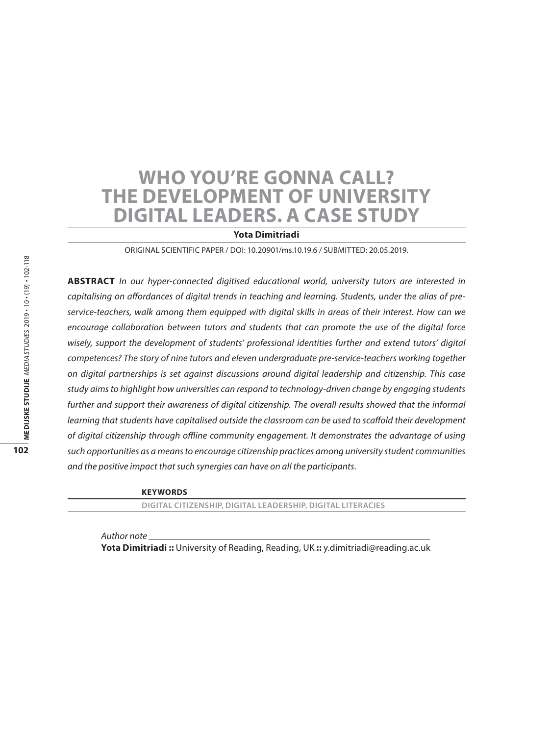# **Who You're Gonna Call? The Development of University Digital Leaders. A Case Study**

#### **Yota Dimitriadi**

ORIGINAL SCIENTIFIC PAPER / DOI: 10.20901/ms.10.19.6 / SUBMITTED: 20.05.2019.

**Abstract** *In our hyper-connected digitised educational world, university tutors are interested in capitalising on affordances of digital trends in teaching and learning. Students, under the alias of preservice-teachers, walk among them equipped with digital skills in areas of their interest. How can we encourage collaboration between tutors and students that can promote the use of the digital force wisely, support the development of students' professional identities further and extend tutors' digital competences? The story of nine tutors and eleven undergraduate pre-service-teachers working together on digital partnerships is set against discussions around digital leadership and citizenship. This case study aims to highlight how universities can respond to technology-driven change by engaging students*  further and support their awareness of digital citizenship. The overall results showed that the informal learning that students have capitalised outside the classroom can be used to scaffold their development *of digital citizenship through offline community engagement. It demonstrates the advantage of using such opportunities as a means to encourage citizenship practices among university student communities and the positive impact that such synergies can have on all the participants.*

| <b>KEYWORDS</b>                                             |
|-------------------------------------------------------------|
| DIGITAL CITIZENSHIP, DIGITAL LEADERSHIP, DIGITAL LITERACIES |

*Author note*

**Yota Dimitriadi ::** University of Reading, Reading, UK **::** y.dimitriadi@reading.ac.uk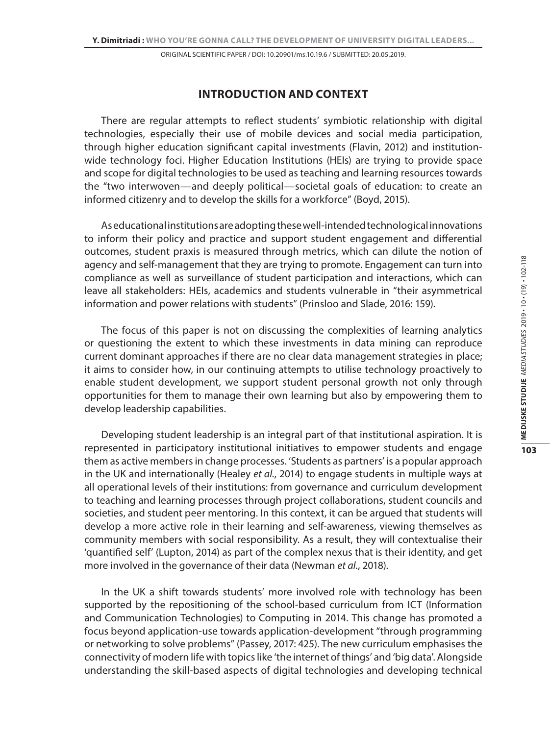### **Introduction and Context**

There are regular attempts to reflect students' symbiotic relationship with digital technologies, especially their use of mobile devices and social media participation, through higher education significant capital investments (Flavin, 2012) and institutionwide technology foci. Higher Education Institutions (HEIs) are trying to provide space and scope for digital technologies to be used as teaching and learning resources towards the "two interwoven—and deeply political—societal goals of education: to create an informed citizenry and to develop the skills for a workforce" (Boyd, 2015).

As educational institutions are adopting these well-intended technological innovations to inform their policy and practice and support student engagement and differential outcomes, student praxis is measured through metrics, which can dilute the notion of agency and self-management that they are trying to promote. Engagement can turn into compliance as well as surveillance of student participation and interactions, which can leave all stakeholders: HEIs, academics and students vulnerable in "their asymmetrical information and power relations with students" (Prinsloo and Slade, 2016: 159).

The focus of this paper is not on discussing the complexities of learning analytics or questioning the extent to which these investments in data mining can reproduce current dominant approaches if there are no clear data management strategies in place; it aims to consider how, in our continuing attempts to utilise technology proactively to enable student development, we support student personal growth not only through opportunities for them to manage their own learning but also by empowering them to develop leadership capabilities.

Developing student leadership is an integral part of that institutional aspiration. It is represented in participatory institutional initiatives to empower students and engage them as active members in change processes. 'Students as partners' is a popular approach in the UK and internationally (Healey *et al.*, 2014) to engage students in multiple ways at all operational levels of their institutions: from governance and curriculum development to teaching and learning processes through project collaborations, student councils and societies, and student peer mentoring. In this context, it can be argued that students will develop a more active role in their learning and self-awareness, viewing themselves as community members with social responsibility. As a result, they will contextualise their 'quantified self' (Lupton, 2014) as part of the complex nexus that is their identity, and get more involved in the governance of their data (Newman *et al.*, 2018).

In the UK a shift towards students' more involved role with technology has been supported by the repositioning of the school-based curriculum from ICT (Information and Communication Technologies) to Computing in 2014. This change has promoted a focus beyond application-use towards application-development "through programming or networking to solve problems" (Passey, 2017: 425). The new curriculum emphasises the connectivity of modern life with topics like 'the internet of things' and 'big data'. Alongside understanding the skill-based aspects of digital technologies and developing technical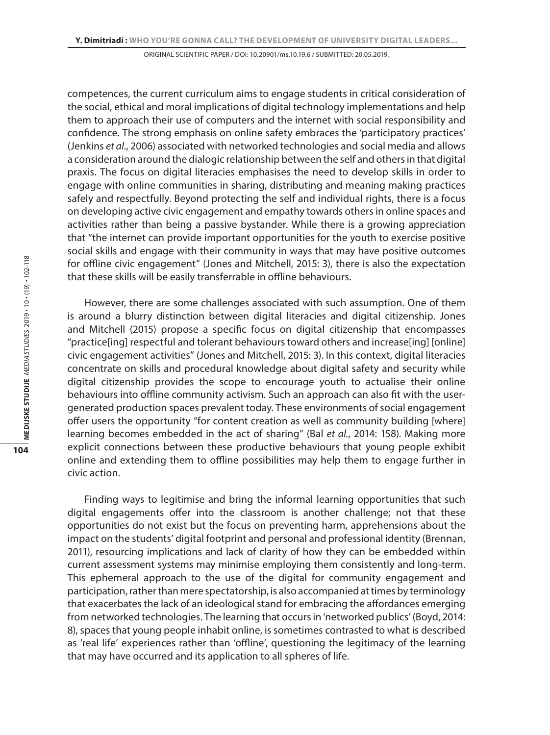competences, the current curriculum aims to engage students in critical consideration of the social, ethical and moral implications of digital technology implementations and help them to approach their use of computers and the internet with social responsibility and confidence. The strong emphasis on online safety embraces the 'participatory practices' (Jenkins *et al.*, 2006) associated with networked technologies and social media and allows a consideration around the dialogic relationship between the self and others in that digital praxis. The focus on digital literacies emphasises the need to develop skills in order to engage with online communities in sharing, distributing and meaning making practices safely and respectfully. Beyond protecting the self and individual rights, there is a focus on developing active civic engagement and empathy towards others in online spaces and activities rather than being a passive bystander. While there is a growing appreciation that "the internet can provide important opportunities for the youth to exercise positive social skills and engage with their community in ways that may have positive outcomes for offline civic engagement" (Jones and Mitchell, 2015: 3), there is also the expectation that these skills will be easily transferrable in offline behaviours.

However, there are some challenges associated with such assumption. One of them is around a blurry distinction between digital literacies and digital citizenship. Jones and Mitchell (2015) propose a specific focus on digital citizenship that encompasses "practice[ing] respectful and tolerant behaviours toward others and increase[ing] [online] civic engagement activities" (Jones and Mitchell, 2015: 3). In this context, digital literacies concentrate on skills and procedural knowledge about digital safety and security while digital citizenship provides the scope to encourage youth to actualise their online behaviours into offline community activism. Such an approach can also fit with the usergenerated production spaces prevalent today. These environments of social engagement offer users the opportunity "for content creation as well as community building [where] learning becomes embedded in the act of sharing" (Bal *et al.*, 2014: 158). Making more explicit connections between these productive behaviours that young people exhibit online and extending them to offline possibilities may help them to engage further in civic action.

Finding ways to legitimise and bring the informal learning opportunities that such digital engagements offer into the classroom is another challenge; not that these opportunities do not exist but the focus on preventing harm, apprehensions about the impact on the students' digital footprint and personal and professional identity (Brennan, 2011), resourcing implications and lack of clarity of how they can be embedded within current assessment systems may minimise employing them consistently and long-term. This ephemeral approach to the use of the digital for community engagement and participation, rather than mere spectatorship, is also accompanied at times by terminology that exacerbates the lack of an ideological stand for embracing the affordances emerging from networked technologies. The learning that occurs in 'networked publics' (Boyd, 2014: 8), spaces that young people inhabit online, is sometimes contrasted to what is described as 'real life' experiences rather than 'offline', questioning the legitimacy of the learning that may have occurred and its application to all spheres of life.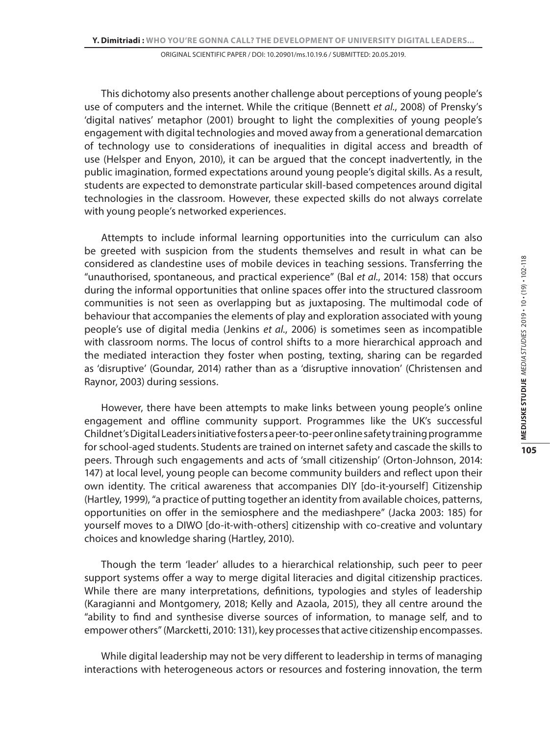This dichotomy also presents another challenge about perceptions of young people's use of computers and the internet. While the critique (Bennett *et al.*, 2008) of Prensky's 'digital natives' metaphor (2001) brought to light the complexities of young people's engagement with digital technologies and moved away from a generational demarcation of technology use to considerations of inequalities in digital access and breadth of use (Helsper and Enyon, 2010), it can be argued that the concept inadvertently, in the public imagination, formed expectations around young people's digital skills. As a result, students are expected to demonstrate particular skill-based competences around digital technologies in the classroom. However, these expected skills do not always correlate with young people's networked experiences.

Attempts to include informal learning opportunities into the curriculum can also be greeted with suspicion from the students themselves and result in what can be considered as clandestine uses of mobile devices in teaching sessions. Transferring the "unauthorised, spontaneous, and practical experience" (Bal *et al.*, 2014: 158) that occurs during the informal opportunities that online spaces offer into the structured classroom communities is not seen as overlapping but as juxtaposing. The multimodal code of behaviour that accompanies the elements of play and exploration associated with young people's use of digital media (Jenkins *et al.*, 2006) is sometimes seen as incompatible with classroom norms. The locus of control shifts to a more hierarchical approach and the mediated interaction they foster when posting, texting, sharing can be regarded as 'disruptive' (Goundar, 2014) rather than as a 'disruptive innovation' (Christensen and Raynor, 2003) during sessions.

However, there have been attempts to make links between young people's online engagement and offline community support. Programmes like the UK's successful Childnet's Digital Leaders initiative fosters a peer-to-peer online safety training programme for school-aged students. Students are trained on internet safety and cascade the skills to peers. Through such engagements and acts of 'small citizenship' (Orton-Johnson, 2014: 147) at local level, young people can become community builders and reflect upon their own identity. The critical awareness that accompanies DIY [do-it-yourself] Citizenship (Hartley, 1999), "a practice of putting together an identity from available choices, patterns, opportunities on offer in the semiosphere and the mediashpere" (Jacka 2003: 185) for yourself moves to a DIWO [do-it-with-others] citizenship with co-creative and voluntary choices and knowledge sharing (Hartley, 2010).

Though the term 'leader' alludes to a hierarchical relationship, such peer to peer support systems offer a way to merge digital literacies and digital citizenship practices. While there are many interpretations, definitions, typologies and styles of leadership (Karagianni and Montgomery, 2018; Kelly and Azaola, 2015), they all centre around the "ability to find and synthesise diverse sources of information, to manage self, and to empower others" (Marcketti, 2010: 131), key processes that active citizenship encompasses.

While digital leadership may not be very different to leadership in terms of managing interactions with heterogeneous actors or resources and fostering innovation, the term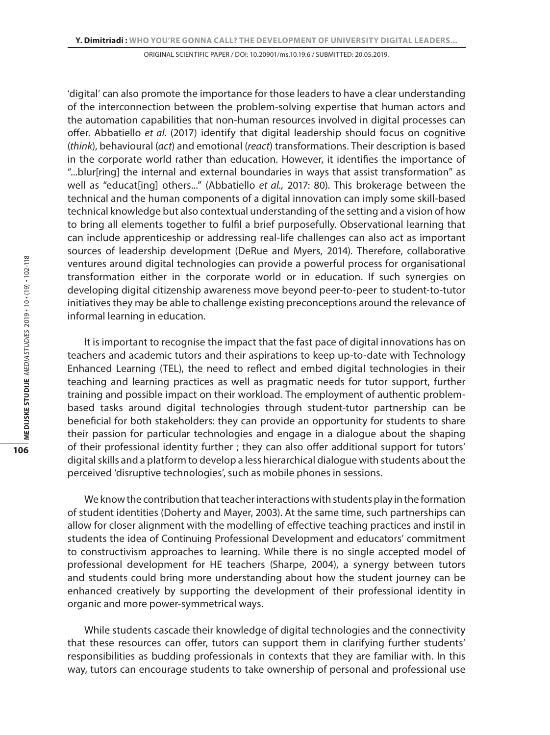'digital' can also promote the importance for those leaders to have a clear understanding of the interconnection between the problem-solving expertise that human actors and the automation capabilities that non-human resources involved in digital processes can offer. Abbatiello *et al*. (2017) identify that digital leadership should focus on cognitive (*think*), behavioural (*act*) and emotional (*react*) transformations. Their description is based in the corporate world rather than education. However, it identifies the importance of "...blur[ring] the internal and external boundaries in ways that assist transformation" as well as "educat[ing] others..." (Abbatiello *et al.,* 2017: 80). This brokerage between the technical and the human components of a digital innovation can imply some skill-based technical knowledge but also contextual understanding of the setting and a vision of how to bring all elements together to fulfil a brief purposefully. Observational learning that can include apprenticeship or addressing real-life challenges can also act as important sources of leadership development (DeRue and Myers, 2014). Therefore, collaborative ventures around digital technologies can provide a powerful process for organisational transformation either in the corporate world or in education. If such synergies on developing digital citizenship awareness move beyond peer-to-peer to student-to-tutor initiatives they may be able to challenge existing preconceptions around the relevance of informal learning in education.

It is important to recognise the impact that the fast pace of digital innovations has on teachers and academic tutors and their aspirations to keep up-to-date with Technology Enhanced Learning (TEL), the need to reflect and embed digital technologies in their teaching and learning practices as well as pragmatic needs for tutor support, further training and possible impact on their workload. The employment of authentic problembased tasks around digital technologies through student-tutor partnership can be beneficial for both stakeholders: they can provide an opportunity for students to share their passion for particular technologies and engage in a dialogue about the shaping of their professional identity further ; they can also offer additional support for tutors' digital skills and a platform to develop a less hierarchical dialogue with students about the perceived 'disruptive technologies', such as mobile phones in sessions.

We know the contribution that teacher interactions with students play in the formation of student identities (Doherty and Mayer, 2003). At the same time, such partnerships can allow for closer alignment with the modelling of effective teaching practices and instil in students the idea of Continuing Professional Development and educators' commitment to constructivism approaches to learning. While there is no single accepted model of professional development for HE teachers (Sharpe, 2004), a synergy between tutors and students could bring more understanding about how the student journey can be enhanced creatively by supporting the development of their professional identity in organic and more power-symmetrical ways.

While students cascade their knowledge of digital technologies and the connectivity that these resources can offer, tutors can support them in clarifying further students' responsibilities as budding professionals in contexts that they are familiar with. In this way, tutors can encourage students to take ownership of personal and professional use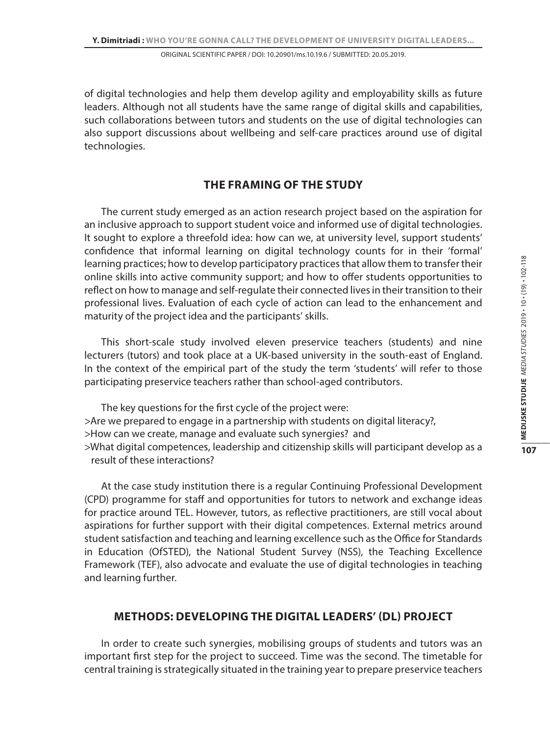of digital technologies and help them develop agility and employability skills as future leaders. Although not all students have the same range of digital skills and capabilities, such collaborations between tutors and students on the use of digital technologies can also support discussions about wellbeing and self-care practices around use of digital technologies.

## **The framing of the study**

The current study emerged as an action research project based on the aspiration for an inclusive approach to support student voice and informed use of digital technologies. It sought to explore a threefold idea: how can we, at university level, support students' confidence that informal learning on digital technology counts for in their 'formal' learning practices; how to develop participatory practices that allow them to transfer their online skills into active community support; and how to offer students opportunities to reflect on how to manage and self-regulate their connected lives in their transition to their professional lives. Evaluation of each cycle of action can lead to the enhancement and maturity of the project idea and the participants' skills.

This short-scale study involved eleven preservice teachers (students) and nine lecturers (tutors) and took place at a UK-based university in the south-east of England. In the context of the empirical part of the study the term 'students' will refer to those participating preservice teachers rather than school-aged contributors.

The key questions for the first cycle of the project were: >Are we prepared to engage in a partnership with students on digital literacy?, >How can we create, manage and evaluate such synergies? and >What digital competences, leadership and citizenship skills will participant develop as a result of these interactions?

At the case study institution there is a regular Continuing Professional Development (CPD) programme for staff and opportunities for tutors to network and exchange ideas for practice around TEL. However, tutors, as reflective practitioners, are still vocal about aspirations for further support with their digital competences. External metrics around student satisfaction and teaching and learning excellence such as the Office for Standards in Education (OfSTED), the National Student Survey (NSS), the Teaching Excellence Framework (TEF), also advocate and evaluate the use of digital technologies in teaching and learning further.

# **Methods: Developing the Digital Leaders' (DL) project**

In order to create such synergies, mobilising groups of students and tutors was an important first step for the project to succeed. Time was the second. The timetable for central training is strategically situated in the training year to prepare preservice teachers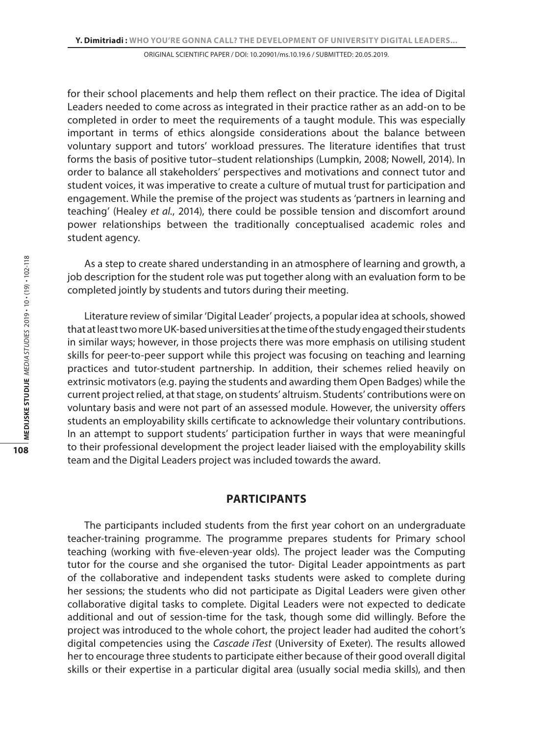for their school placements and help them reflect on their practice. The idea of Digital Leaders needed to come across as integrated in their practice rather as an add-on to be completed in order to meet the requirements of a taught module. This was especially important in terms of ethics alongside considerations about the balance between voluntary support and tutors' workload pressures. The literature identifies that trust forms the basis of positive tutor–student relationships (Lumpkin, 2008; Nowell, 2014). In order to balance all stakeholders' perspectives and motivations and connect tutor and student voices, it was imperative to create a culture of mutual trust for participation and engagement. While the premise of the project was students as 'partners in learning and teaching' (Healey *et al.*, 2014), there could be possible tension and discomfort around power relationships between the traditionally conceptualised academic roles and student agency.

As a step to create shared understanding in an atmosphere of learning and growth, a job description for the student role was put together along with an evaluation form to be completed jointly by students and tutors during their meeting.

Literature review of similar 'Digital Leader' projects, a popular idea at schools, showed that at least two more UK-based universities at the time of the study engaged their students in similar ways; however, in those projects there was more emphasis on utilising student skills for peer-to-peer support while this project was focusing on teaching and learning practices and tutor-student partnership. In addition, their schemes relied heavily on extrinsic motivators (e.g. paying the students and awarding them Open Badges) while the current project relied, at that stage, on students' altruism. Students' contributions were on voluntary basis and were not part of an assessed module. However, the university offers students an employability skills certificate to acknowledge their voluntary contributions. In an attempt to support students' participation further in ways that were meaningful to their professional development the project leader liaised with the employability skills team and the Digital Leaders project was included towards the award.

### **Participants**

The participants included students from the first year cohort on an undergraduate teacher-training programme. The programme prepares students for Primary school teaching (working with five-eleven-year olds). The project leader was the Computing tutor for the course and she organised the tutor- Digital Leader appointments as part of the collaborative and independent tasks students were asked to complete during her sessions; the students who did not participate as Digital Leaders were given other collaborative digital tasks to complete. Digital Leaders were not expected to dedicate additional and out of session-time for the task, though some did willingly. Before the project was introduced to the whole cohort, the project leader had audited the cohort's digital competencies using the *Cascade iTest* (University of Exeter). The results allowed her to encourage three students to participate either because of their good overall digital skills or their expertise in a particular digital area (usually social media skills), and then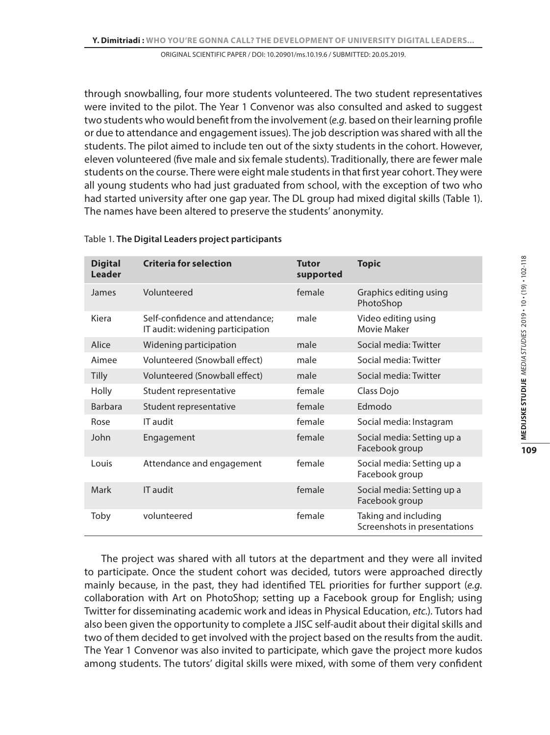through snowballing, four more students volunteered. The two student representatives were invited to the pilot. The Year 1 Convenor was also consulted and asked to suggest two students who would benefit from the involvement (*e.g.* based on their learning profile or due to attendance and engagement issues). The job description was shared with all the students. The pilot aimed to include ten out of the sixty students in the cohort. However, eleven volunteered (five male and six female students). Traditionally, there are fewer male students on the course. There were eight male students in that first year cohort. They were all young students who had just graduated from school, with the exception of two who had started university after one gap year. The DL group had mixed digital skills (Table 1). The names have been altered to preserve the students' anonymity.

| <b>Digital</b><br>Leader | <b>Criteria for selection</b>                                       | <b>Tutor</b><br>supported | <b>Topic</b>                                         |
|--------------------------|---------------------------------------------------------------------|---------------------------|------------------------------------------------------|
| James                    | Volunteered                                                         | female                    | Graphics editing using<br>PhotoShop                  |
| Kiera                    | Self-confidence and attendance;<br>IT audit: widening participation | male                      | Video editing using<br>Movie Maker                   |
| Alice                    | Widening participation                                              | male                      | Social media: Twitter                                |
| Aimee                    | Volunteered (Snowball effect)                                       | male                      | Social media: Twitter                                |
| <b>Tilly</b>             | Volunteered (Snowball effect)                                       | male                      | Social media: Twitter                                |
| Holly                    | Student representative                                              | female                    | Class Dojo                                           |
| Barbara                  | Student representative                                              | female                    | Edmodo                                               |
| Rose                     | IT audit                                                            | female                    | Social media: Instagram                              |
| John                     | Engagement                                                          | female                    | Social media: Setting up a<br>Facebook group         |
| Louis                    | Attendance and engagement                                           | female                    | Social media: Setting up a<br>Facebook group         |
| Mark                     | IT audit                                                            | female                    | Social media: Setting up a<br>Facebook group         |
| Toby                     | volunteered                                                         | female                    | Taking and including<br>Screenshots in presentations |

#### Table 1. **The Digital Leaders project participants**

The project was shared with all tutors at the department and they were all invited to participate. Once the student cohort was decided, tutors were approached directly mainly because, in the past, they had identified TEL priorities for further support (*e.g.* collaboration with Art on PhotoShop; setting up a Facebook group for English; using Twitter for disseminating academic work and ideas in Physical Education, *etc.*). Tutors had also been given the opportunity to complete a JISC self-audit about their digital skills and two of them decided to get involved with the project based on the results from the audit. The Year 1 Convenor was also invited to participate, which gave the project more kudos among students. The tutors' digital skills were mixed, with some of them very confident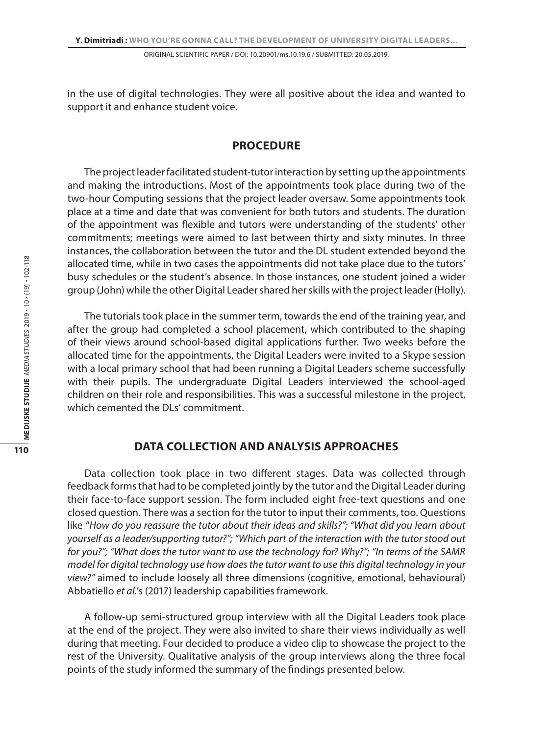in the use of digital technologies. They were all positive about the idea and wanted to support it and enhance student voice.

#### **Procedure**

The project leader facilitated student-tutor interaction by setting up the appointments and making the introductions. Most of the appointments took place during two of the two-hour Computing sessions that the project leader oversaw. Some appointments took place at a time and date that was convenient for both tutors and students. The duration of the appointment was flexible and tutors were understanding of the students' other commitments; meetings were aimed to last between thirty and sixty minutes. In three instances, the collaboration between the tutor and the DL student extended beyond the allocated time, while in two cases the appointments did not take place due to the tutors' busy schedules or the student's absence. In those instances, one student joined a wider group (John) while the other Digital Leader shared her skills with the project leader (Holly).

The tutorials took place in the summer term, towards the end of the training year, and after the group had completed a school placement, which contributed to the shaping of their views around school-based digital applications further. Two weeks before the allocated time for the appointments, the Digital Leaders were invited to a Skype session with a local primary school that had been running a Digital Leaders scheme successfully with their pupils. The undergraduate Digital Leaders interviewed the school-aged children on their role and responsibilities. This was a successful milestone in the project, which cemented the DLs' commitment.

## **Data collection and analysis approaches**

Data collection took place in two different stages. Data was collected through feedback forms that had to be completed jointly by the tutor and the Digital Leader during their face-to-face support session. The form included eight free-text questions and one closed question. There was a section for the tutor to input their comments, too. Questions like "*How do you reassure the tutor about their ideas and skills?"; "What did you learn about yourself as a leader/supporting tutor?"; "Which part of the interaction with the tutor stood out for you?"; "What does the tutor want to use the technology for? Why?"; "In terms of the SAMR model for digital technology use how does the tutor want to use this digital technology in your view?"* aimed to include loosely all three dimensions (cognitive, emotional, behavioural) Abbatiello *et al.*'s (2017) leadership capabilities framework.

A follow-up semi-structured group interview with all the Digital Leaders took place at the end of the project. They were also invited to share their views individually as well during that meeting. Four decided to produce a video clip to showcase the project to the rest of the University. Qualitative analysis of the group interviews along the three focal points of the study informed the summary of the findings presented below.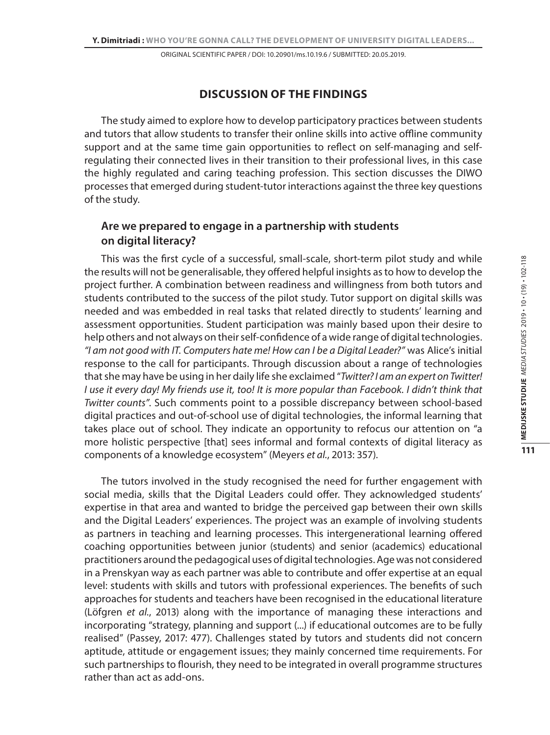### **Discussion of the findings**

The study aimed to explore how to develop participatory practices between students and tutors that allow students to transfer their online skills into active offline community support and at the same time gain opportunities to reflect on self-managing and selfregulating their connected lives in their transition to their professional lives, in this case the highly regulated and caring teaching profession. This section discusses the DIWO processes that emerged during student-tutor interactions against the three key questions of the study.

## **Are we prepared to engage in a partnership with students on digital literacy?**

This was the first cycle of a successful, small-scale, short-term pilot study and while the results will not be generalisable, they offered helpful insights as to how to develop the project further. A combination between readiness and willingness from both tutors and students contributed to the success of the pilot study. Tutor support on digital skills was needed and was embedded in real tasks that related directly to students' learning and assessment opportunities. Student participation was mainly based upon their desire to help others and not always on their self-confidence of a wide range of digital technologies. *"I am not good with IT. Computers hate me! How can I be a Digital Leader?"* was Alice's initial response to the call for participants. Through discussion about a range of technologies that she may have be using in her daily life she exclaimed "*Twitter? I am an expert on Twitter! I* use it every day! My friends use it, too! It is more popular than Facebook. I didn't think that *Twitter counts"*. Such comments point to a possible discrepancy between school-based digital practices and out-of-school use of digital technologies, the informal learning that takes place out of school. They indicate an opportunity to refocus our attention on "a more holistic perspective [that] sees informal and formal contexts of digital literacy as components of a knowledge ecosystem" (Meyers *et al.*, 2013: 357).

The tutors involved in the study recognised the need for further engagement with social media, skills that the Digital Leaders could offer. They acknowledged students' expertise in that area and wanted to bridge the perceived gap between their own skills and the Digital Leaders' experiences. The project was an example of involving students as partners in teaching and learning processes. This intergenerational learning offered coaching opportunities between junior (students) and senior (academics) educational practitioners around the pedagogical uses of digital technologies. Age was not considered in a Prenskyan way as each partner was able to contribute and offer expertise at an equal level: students with skills and tutors with professional experiences. The benefits of such approaches for students and teachers have been recognised in the educational literature (Löfgren *et al.*, 2013) along with the importance of managing these interactions and incorporating "strategy, planning and support (...) if educational outcomes are to be fully realised" (Passey, 2017: 477). Challenges stated by tutors and students did not concern aptitude, attitude or engagement issues; they mainly concerned time requirements. For such partnerships to flourish, they need to be integrated in overall programme structures rather than act as add-ons.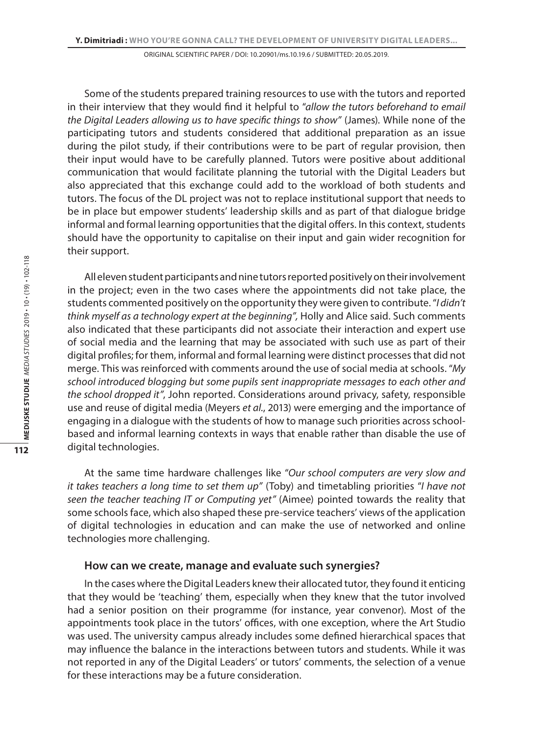Some of the students prepared training resources to use with the tutors and reported in their interview that they would find it helpful to "*allow the tutors beforehand to email the Digital Leaders allowing us to have specific things to show"* (James). While none of the participating tutors and students considered that additional preparation as an issue during the pilot study, if their contributions were to be part of regular provision, then their input would have to be carefully planned. Tutors were positive about additional communication that would facilitate planning the tutorial with the Digital Leaders but also appreciated that this exchange could add to the workload of both students and tutors. The focus of the DL project was not to replace institutional support that needs to be in place but empower students' leadership skills and as part of that dialogue bridge informal and formal learning opportunities that the digital offers. In this context, students should have the opportunity to capitalise on their input and gain wider recognition for their support.

All eleven student participants and nine tutors reported positively on their involvement in the project; even in the two cases where the appointments did not take place, the students commented positively on the opportunity they were given to contribute. "*I didn't think myself as a technology expert at the beginning",* Holly and Alice said. Such comments also indicated that these participants did not associate their interaction and expert use of social media and the learning that may be associated with such use as part of their digital profiles; for them, informal and formal learning were distinct processes that did not merge. This was reinforced with comments around the use of social media at schools. "*My school introduced blogging but some pupils sent inappropriate messages to each other and the school dropped it"*, John reported. Considerations around privacy, safety, responsible use and reuse of digital media (Meyers *et al.*, 2013) were emerging and the importance of engaging in a dialogue with the students of how to manage such priorities across schoolbased and informal learning contexts in ways that enable rather than disable the use of digital technologies.

At the same time hardware challenges like "*Our school computers are very slow and it takes teachers a long time to set them up"* (Toby) and timetabling priorities "*I have not seen the teacher teaching IT or Computing yet"* (Aimee) pointed towards the reality that some schools face, which also shaped these pre-service teachers' views of the application of digital technologies in education and can make the use of networked and online technologies more challenging.

#### **How can we create, manage and evaluate such synergies?**

In the cases where the Digital Leaders knew their allocated tutor, they found it enticing that they would be 'teaching' them, especially when they knew that the tutor involved had a senior position on their programme (for instance, year convenor). Most of the appointments took place in the tutors' offices, with one exception, where the Art Studio was used. The university campus already includes some defined hierarchical spaces that may influence the balance in the interactions between tutors and students. While it was not reported in any of the Digital Leaders' or tutors' comments, the selection of a venue for these interactions may be a future consideration.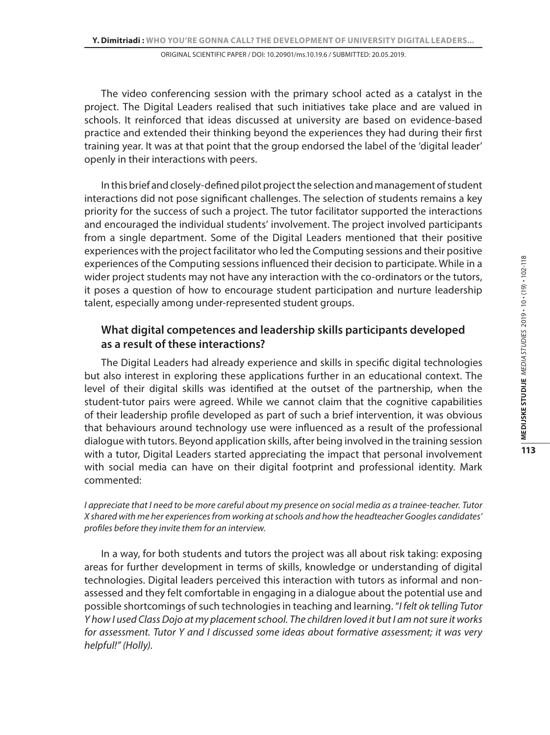The video conferencing session with the primary school acted as a catalyst in the project. The Digital Leaders realised that such initiatives take place and are valued in schools. It reinforced that ideas discussed at university are based on evidence-based practice and extended their thinking beyond the experiences they had during their first training year. It was at that point that the group endorsed the label of the 'digital leader' openly in their interactions with peers.

In this brief and closely-defined pilot project the selection and management of student interactions did not pose significant challenges. The selection of students remains a key priority for the success of such a project. The tutor facilitator supported the interactions and encouraged the individual students' involvement. The project involved participants from a single department. Some of the Digital Leaders mentioned that their positive experiences with the project facilitator who led the Computing sessions and their positive experiences of the Computing sessions influenced their decision to participate. While in a wider project students may not have any interaction with the co-ordinators or the tutors, it poses a question of how to encourage student participation and nurture leadership talent, especially among under-represented student groups.

# **What digital competences and leadership skills participants developed as a result of these interactions?**

The Digital Leaders had already experience and skills in specific digital technologies but also interest in exploring these applications further in an educational context. The level of their digital skills was identified at the outset of the partnership, when the student-tutor pairs were agreed. While we cannot claim that the cognitive capabilities of their leadership profile developed as part of such a brief intervention, it was obvious that behaviours around technology use were influenced as a result of the professional dialogue with tutors. Beyond application skills, after being involved in the training session with a tutor, Digital Leaders started appreciating the impact that personal involvement with social media can have on their digital footprint and professional identity. Mark commented:

*I appreciate that I need to be more careful about my presence on social media as a trainee-teacher. Tutor X shared with me her experiences from working at schools and how the headteacher Googles candidates' profiles before they invite them for an interview.*

In a way, for both students and tutors the project was all about risk taking: exposing areas for further development in terms of skills, knowledge or understanding of digital technologies. Digital leaders perceived this interaction with tutors as informal and nonassessed and they felt comfortable in engaging in a dialogue about the potential use and possible shortcomings of such technologies in teaching and learning. "*I felt ok telling Tutor Y how I used Class Dojo at my placement school. The children loved it but I am not sure it works for assessment. Tutor Y and I discussed some ideas about formative assessment; it was very helpful!" (Holly)*.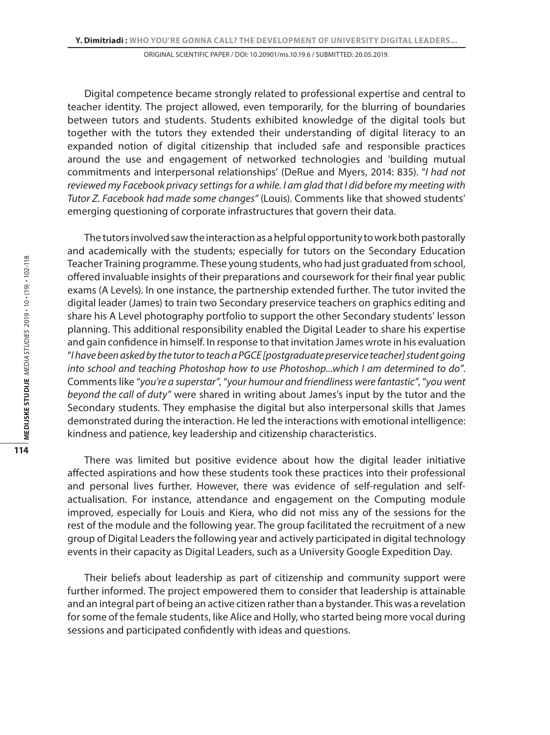Digital competence became strongly related to professional expertise and central to teacher identity. The project allowed, even temporarily, for the blurring of boundaries between tutors and students. Students exhibited knowledge of the digital tools but together with the tutors they extended their understanding of digital literacy to an expanded notion of digital citizenship that included safe and responsible practices around the use and engagement of networked technologies and 'building mutual commitments and interpersonal relationships' (DeRue and Myers, 2014: 835). "*I had not reviewed my Facebook privacy settings for a while. I am glad that I did before my meeting with Tutor Z. Facebook had made some changes"* (Louis). Comments like that showed students' emerging questioning of corporate infrastructures that govern their data.

The tutors involved saw the interaction as a helpful opportunity to work both pastorally and academically with the students; especially for tutors on the Secondary Education Teacher Training programme. These young students, who had just graduated from school, offered invaluable insights of their preparations and coursework for their final year public exams (A Levels). In one instance, the partnership extended further. The tutor invited the digital leader (James) to train two Secondary preservice teachers on graphics editing and share his A Level photography portfolio to support the other Secondary students' lesson planning. This additional responsibility enabled the Digital Leader to share his expertise and gain confidence in himself. In response to that invitation James wrote in his evaluation "*I have been asked by the tutor to teach a PGCE [postgraduate preservice teacher] student going into school and teaching Photoshop how to use Photoshop...which I am determined to do"*. Comments like "*you're a superstar"*, "*your humour and friendliness were fantastic"*, "*you went beyond the call of duty"* were shared in writing about James's input by the tutor and the Secondary students. They emphasise the digital but also interpersonal skills that James demonstrated during the interaction. He led the interactions with emotional intelligence: kindness and patience, key leadership and citizenship characteristics.

There was limited but positive evidence about how the digital leader initiative affected aspirations and how these students took these practices into their professional and personal lives further. However, there was evidence of self-regulation and selfactualisation. For instance, attendance and engagement on the Computing module improved, especially for Louis and Kiera, who did not miss any of the sessions for the rest of the module and the following year. The group facilitated the recruitment of a new group of Digital Leaders the following year and actively participated in digital technology events in their capacity as Digital Leaders, such as a University Google Expedition Day.

Their beliefs about leadership as part of citizenship and community support were further informed. The project empowered them to consider that leadership is attainable and an integral part of being an active citizen rather than a bystander. This was a revelation for some of the female students, like Alice and Holly, who started being more vocal during sessions and participated confidently with ideas and questions.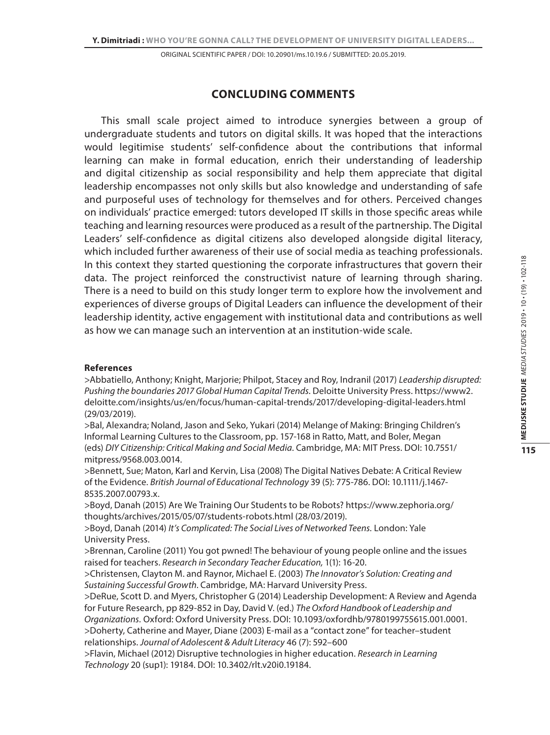## **Concluding comments**

This small scale project aimed to introduce synergies between a group of undergraduate students and tutors on digital skills. It was hoped that the interactions would legitimise students' self-confidence about the contributions that informal learning can make in formal education, enrich their understanding of leadership and digital citizenship as social responsibility and help them appreciate that digital leadership encompasses not only skills but also knowledge and understanding of safe and purposeful uses of technology for themselves and for others. Perceived changes on individuals' practice emerged: tutors developed IT skills in those specific areas while teaching and learning resources were produced as a result of the partnership. The Digital Leaders' self-confidence as digital citizens also developed alongside digital literacy, which included further awareness of their use of social media as teaching professionals. In this context they started questioning the corporate infrastructures that govern their data. The project reinforced the constructivist nature of learning through sharing. There is a need to build on this study longer term to explore how the involvement and experiences of diverse groups of Digital Leaders can influence the development of their leadership identity, active engagement with institutional data and contributions as well as how we can manage such an intervention at an institution-wide scale.

#### **References**

>Abbatiello, Anthony; Knight, Marjorie; Philpot, Stacey and Roy, Indranil (2017) *Leadership disrupted: Pushing the boundaries 2017 Global Human Capital Trends*. Deloitte University Press. https://www2. deloitte.com/insights/us/en/focus/human-capital-trends/2017/developing-digital-leaders.html (29/03/2019).

>Bal, Alexandra; Noland, Jason and Seko, Yukari (2014) Melange of Making: Bringing Children's Informal Learning Cultures to the Classroom, pp. 157-168 in Ratto, Matt, and Boler, Megan (eds) *DIY Citizenship: Critical Making and Social Media*. Cambridge, MA: MIT Press. DOI: 10.7551/ mitpress/9568.003.0014.

>Bennett, Sue; Maton, Karl and Kervin, Lisa (2008) The Digital Natives Debate: A Critical Review of the Evidence. *British Journal of Educational Technology* 39 (5): 775-786. DOI: 10.1111/j.1467- 8535.2007.00793.x.

>Boyd, Danah (2015) Are We Training Our Students to be Robots? https://www.zephoria.org/ thoughts/archives/2015/05/07/students-robots.html (28/03/2019).

>Boyd, Danah (2014) *It's Complicated: The Social Lives of Networked Teens.* London: Yale University Press.

>Brennan, Caroline (2011) You got pwned! The behaviour of young people online and the issues raised for teachers. *Research in Secondary Teacher Education,* 1(1): 16-20.

>Christensen, Clayton M. and Raynor, Michael E. (2003) *The Innovator's Solution: Creating and Sustaining Successful Growth*. Cambridge, MA: Harvard University Press.

>DeRue, Scott D. and Myers, Christopher G (2014) Leadership Development: A Review and Agenda for Future Research, pp 829-852 in Day, David V. (ed.) *The Oxford Handbook of Leadership and Organizations.* Oxford: Oxford University Press. DOI: 10.1093/oxfordhb/9780199755615.001.0001. >Doherty, Catherine and Mayer, Diane (2003) E-mail as a "contact zone" for teacher–student relationships. *Journal of Adolescent & Adult Literacy* 46 (7): 592–600

>Flavin, Michael (2012) Disruptive technologies in higher education. *Research in Learning Technology* 20 (sup1): 19184. DOI: 10.3402/rlt.v20i0.19184.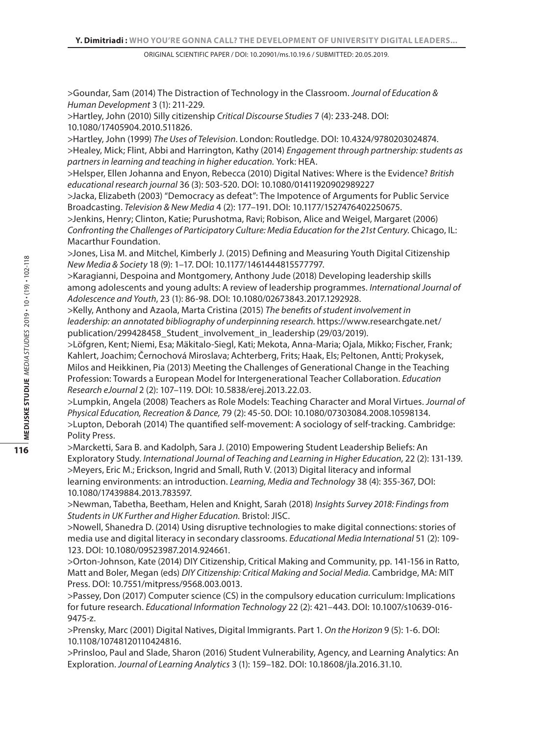>Goundar, Sam (2014) The Distraction of Technology in the Classroom. *Journal of Education & Human Development* 3 (1): 211-229.

>Hartley, John (2010) Silly citizenship *Critical Discourse Studies* 7 (4): 233-248. DOI: 10.1080/17405904.2010.511826.

>Hartley, John (1999) *The Uses of Television*. London: Routledge. DOI: 10.4324/9780203024874. >Healey, Mick; Flint, Abbi and Harrington, Kathy (2014) *Engagement through partnership: students as partners in learning and teaching in higher education.* York: HEA.

>Helsper, Ellen Johanna and Enyon, Rebecca (2010) Digital Natives: Where is the Evidence? *British educational research journal* 36 (3): 503-520. DOI: 10.1080/01411920902989227

>Jacka, Elizabeth (2003) "Democracy as defeat": The Impotence of Arguments for Public Service Broadcasting. *Television & New Media* 4 (2): 177–191. DOI: 10.1177/1527476402250675.

>Jenkins, Henry; Clinton, Katie; Purushotma, Ravi; Robison, Alice and Weigel, Margaret (2006) *Confronting the Challenges of Participatory Culture: Media Education for the 21st Century*. Chicago, IL: Macarthur Foundation.

>Jones, Lisa M. and Mitchel, Kimberly J. (2015) Defining and Measuring Youth Digital Citizenship *New Media & Society* 18 (9): 1–17. DOI: 10.1177/1461444815577797.

>Karagianni, Despoina and Montgomery, Anthony Jude (2018) Developing leadership skills among adolescents and young adults: A review of leadership programmes. *International Journal of Adolescence and Youth*, 23 (1): 86-98. DOI: 10.1080/02673843.2017.1292928.

>Kelly, Anthony and Azaola, Marta Cristina (2015) *The benefits of student involvement in leadership: an annotated bibliography of underpinning research.* https://www.researchgate.net/ publication/299428458\_Student\_involvement\_in\_leadership (29/03/2019).

>Löfgren, Kent; Niemi, Esa; Mäkitalo-Siegl, Kati; Mekota, Anna-Maria; Ojala, Mikko; Fischer, Frank; Kahlert, Joachim; Černochová Miroslava; Achterberg, Frits; Haak, Els; Peltonen, Antti; Prokysek, Milos and Heikkinen, Pia (2013) Meeting the Challenges of Generational Change in the Teaching Profession: Towards a European Model for Intergenerational Teacher Collaboration. *Education Research eJournal* 2 (2): 107–119. DOI: 10.5838/erej.2013.22.03.

>Lumpkin, Angela (2008) Teachers as Role Models: Teaching Character and Moral Virtues. *Journal of Physical Education, Recreation & Dance,* 79 (2): 45-50. DOI: 10.1080/07303084.2008.10598134. >Lupton, Deborah (2014) The quantified self-movement: A sociology of self-tracking. Cambridge: Polity Press.

>Marcketti, Sara B. and Kadolph, Sara J. (2010) Empowering Student Leadership Beliefs: An Exploratory Study. *International Journal of Teaching and Learning in Higher Education*, 22 (2): 131-139. >Meyers, Eric M.; Erickson, Ingrid and Small, Ruth V. (2013) Digital literacy and informal learning environments: an introduction. *Learning, Media and Technology* 38 (4): 355-367, DOI: 10.1080/17439884.2013.783597.

>Newman, Tabetha, Beetham, Helen and Knight, Sarah (2018) *Insights Survey 2018: Findings from Students in UK Further and Higher Education.* Bristol: JISC.

>Nowell, Shanedra D. (2014) Using disruptive technologies to make digital connections: stories of media use and digital literacy in secondary classrooms. *Educational Media International* 51 (2): 109- 123. DOI: 10.1080/09523987.2014.924661.

>Orton-Johnson, Kate (2014) DIY Citizenship, Critical Making and Community, pp. 141-156 in Ratto, Matt and Boler, Megan (eds) *DIY Citizenship: Critical Making and Social Media*. Cambridge, MA: MIT Press. DOI: 10.7551/mitpress/9568.003.0013.

>Passey, Don (2017) Computer science (CS) in the compulsory education curriculum: Implications for future research. *Educational Information Technology* 22 (2): 421–443. DOI: 10.1007/s10639-016- 9475-z.

>Prensky, Marc (2001) Digital Natives, Digital Immigrants. Part 1. *On the Horizon* 9 (5): 1-6. DOI: 10.1108/10748120110424816.

>Prinsloo, Paul and Slade, Sharon (2016) Student Vulnerability, Agency, and Learning Analytics: An Exploration. *Journal of Learning Analytics* 3 (1): 159–182. DOI: 10.18608/jla.2016.31.10.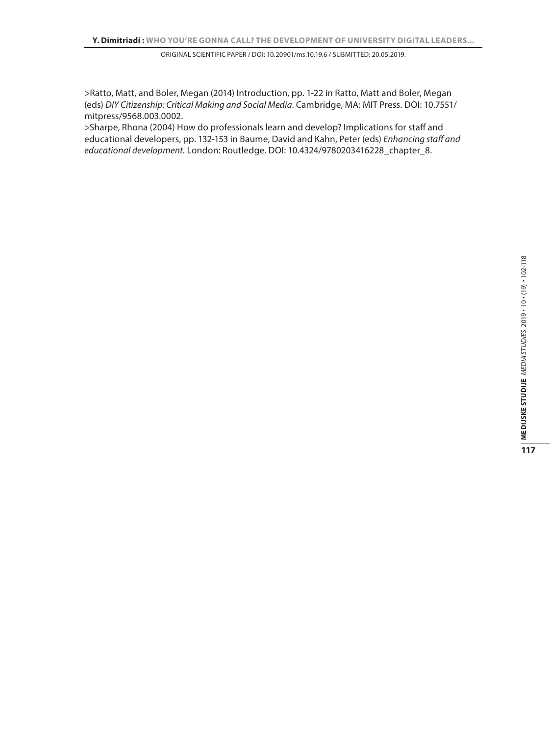>Ratto, Matt, and Boler, Megan (2014) Introduction, pp. 1-22 in Ratto, Matt and Boler, Megan (eds) *DIY Citizenship: Critical Making and Social Media*. Cambridge, MA: MIT Press. DOI: 10.7551/ mitpress/9568.003.0002.

>Sharpe, Rhona (2004) How do professionals learn and develop? Implications for staff and educational developers, pp. 132-153 in Baume, David and Kahn, Peter (eds) *Enhancing staff and educational development.* London: Routledge. DOI: 10.4324/9780203416228\_chapter\_8.